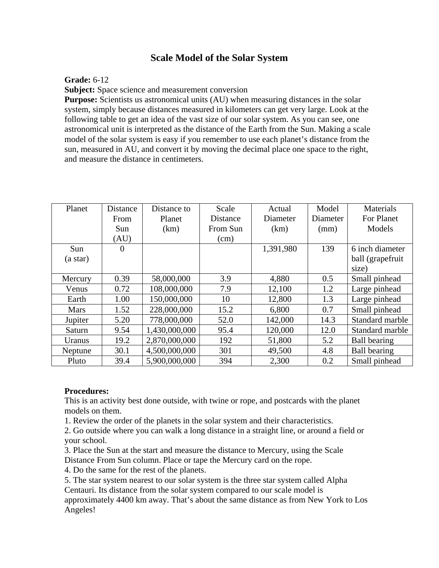# **Scale Model of the Solar System**

## **Grade:** 6-12

**Subject:** Space science and measurement conversion

**Purpose:** Scientists us astronomical units (AU) when measuring distances in the solar system, simply because distances measured in kilometers can get very large. Look at the following table to get an idea of the vast size of our solar system. As you can see, one astronomical unit is interpreted as the distance of the Earth from the Sun. Making a scale model of the solar system is easy if you remember to use each planet's distance from the sun, measured in AU, and convert it by moving the decimal place one space to the right, and measure the distance in centimeters.

| Planet          | Distance | Distance to   | Scale    | Actual    | Model    | Materials                                    |
|-----------------|----------|---------------|----------|-----------|----------|----------------------------------------------|
|                 | From     | Planet        | Distance | Diameter  | Diameter | For Planet                                   |
|                 | Sun      | (km)          | From Sun | (km)      | (mm)     | Models                                       |
|                 | (AU)     |               | (cm)     |           |          |                                              |
| Sun<br>(a star) | $\theta$ |               |          | 1,391,980 | 139      | 6 inch diameter<br>ball (grapefruit<br>size) |
| Mercury         | 0.39     | 58,000,000    | 3.9      | 4,880     | 0.5      | Small pinhead                                |
| Venus           | 0.72     | 108,000,000   | 7.9      | 12,100    | 1.2      | Large pinhead                                |
| Earth           | 1.00     | 150,000,000   | 10       | 12,800    | 1.3      | Large pinhead                                |
| <b>Mars</b>     | 1.52     | 228,000,000   | 15.2     | 6,800     | 0.7      | Small pinhead                                |
| Jupiter         | 5.20     | 778,000,000   | 52.0     | 142,000   | 14.3     | Standard marble                              |
| Saturn          | 9.54     | 1,430,000,000 | 95.4     | 120,000   | 12.0     | Standard marble                              |
| Uranus          | 19.2     | 2,870,000,000 | 192      | 51,800    | 5.2      | Ball bearing                                 |
| Neptune         | 30.1     | 4,500,000,000 | 301      | 49,500    | 4.8      | <b>Ball bearing</b>                          |
| Pluto           | 39.4     | 5,900,000,000 | 394      | 2,300     | 0.2      | Small pinhead                                |

### **Procedures:**

This is an activity best done outside, with twine or rope, and postcards with the planet models on them.

1. Review the order of the planets in the solar system and their characteristics.

2. Go outside where you can walk a long distance in a straight line, or around a field or your school.

3. Place the Sun at the start and measure the distance to Mercury, using the Scale

Distance From Sun column. Place or tape the Mercury card on the rope.

4. Do the same for the rest of the planets.

5. The star system nearest to our solar system is the three star system called Alpha Centauri. Its distance from the solar system compared to our scale model is approximately 4400 km away. That's about the same distance as from New York to Los Angeles!